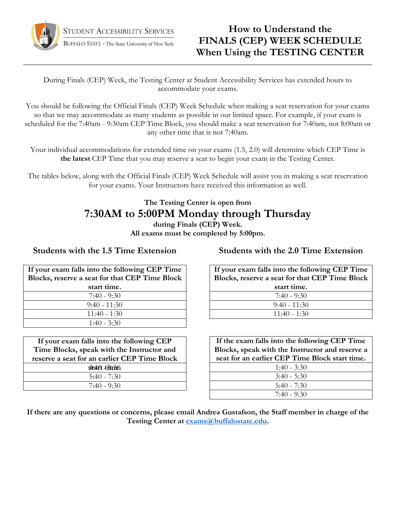

## **How to Understand the FINALS (CEP) WEEK SCHEDULE When Using the TESTING CENTER**

During Finals (CEP) Week, the Testing Center at Student Accessibility Services has extended hours to accommodate your exams.

You should be following the Official Finals (CEP) Week Schedule when making a seat reservation for your exams so that we may accommodate as many students as possible in our limited space. For example, if your exam is scheduled for the 7:40am - 9:30am CEP Time Block, you should make a seat reservation for 7:40am, not 8:00am or any other time that is not 7:40am.

Your individual accommodations for extended time on your exams (1.5, 2.0) will determine which CEP Time is **the latest** CEP Time that you may reserve a seat to begin your exam in the Testing Center.

The tables below, along with the Official Finals (CEP) Week Schedule will assist you in making a seat reservation for your exams. Your Instructors have received this information as well.

### **The Testing Center is open from 7:30AM to 5:00PM Monday through Thursday during Finals (CEP) Week.**

**All exams must be completed by 5:00pm.** 

#### **Students with the 1.5 Time Extension**

| If your exam falls into the following CEP Time |  |  |  |  |  |
|------------------------------------------------|--|--|--|--|--|
| Blocks, reserve a seat for that CEP Time Block |  |  |  |  |  |
| start time.                                    |  |  |  |  |  |
| $7:40 - 9:30$                                  |  |  |  |  |  |
| $9:40 - 11:30$                                 |  |  |  |  |  |
| $11:40 - 1:30$                                 |  |  |  |  |  |
| $1:40 - 3:30$                                  |  |  |  |  |  |

| If your exam falls into the following CEP    |  |  |  |  |  |
|----------------------------------------------|--|--|--|--|--|
| Time Blocks, speak with the Instructor and   |  |  |  |  |  |
| reserve a seat for an earlier CEP Time Block |  |  |  |  |  |
| staft time).                                 |  |  |  |  |  |
| $5:40 - 7:30$                                |  |  |  |  |  |
| $7.40 - 9.30$                                |  |  |  |  |  |

**Students with the 2.0 Time Extension**

| If your exam falls into the following CEP Time |  |  |  |  |  |
|------------------------------------------------|--|--|--|--|--|
| Blocks, reserve a seat for that CEP Time Block |  |  |  |  |  |
| start time.                                    |  |  |  |  |  |
| $7:40 - 9:30$                                  |  |  |  |  |  |
| $9:40 - 11:30$                                 |  |  |  |  |  |
| $11:40 - 1:30$                                 |  |  |  |  |  |

| If the exam falls into the following CEP Time   |  |  |  |  |
|-------------------------------------------------|--|--|--|--|
| Blocks, speak with the Instructor and reserve a |  |  |  |  |
| seat for an earlier CEP Time Block start time.  |  |  |  |  |
| $1:40 - 3:30$                                   |  |  |  |  |
| $3:40 - 5:30$                                   |  |  |  |  |
| $5:40 - 7:30$                                   |  |  |  |  |
| $7.40 - 9.30$                                   |  |  |  |  |

**If there are any questions or concerns, please email Andrea Gustafson, the Staff member in charge of the Testing Center at [exams@buffalostate.edu.](mailto:exams@buffalostate.edu)**